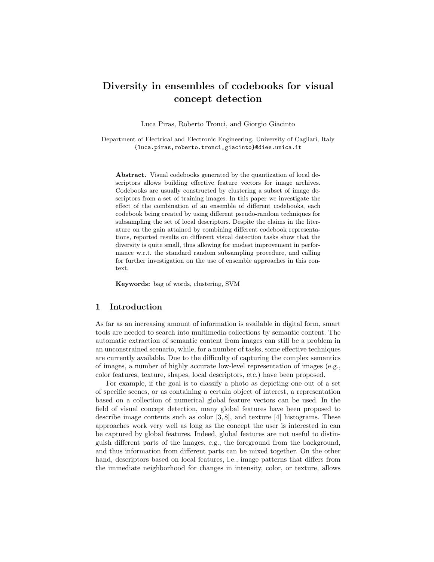# Diversity in ensembles of codebooks for visual concept detection

Luca Piras, Roberto Tronci, and Giorgio Giacinto

Department of Electrical and Electronic Engineering, University of Cagliari, Italy {luca.piras,roberto.tronci,giacinto}@diee.unica.it

Abstract. Visual codebooks generated by the quantization of local descriptors allows building effective feature vectors for image archives. Codebooks are usually constructed by clustering a subset of image descriptors from a set of training images. In this paper we investigate the effect of the combination of an ensemble of different codebooks, each codebook being created by using different pseudo-random techniques for subsampling the set of local descriptors. Despite the claims in the literature on the gain attained by combining different codebook representations, reported results on different visual detection tasks show that the diversity is quite small, thus allowing for modest improvement in performance w.r.t. the standard random subsampling procedure, and calling for further investigation on the use of ensemble approaches in this context.

Keywords: bag of words, clustering, SVM

### 1 Introduction

As far as an increasing amount of information is available in digital form, smart tools are needed to search into multimedia collections by semantic content. The automatic extraction of semantic content from images can still be a problem in an unconstrained scenario, while, for a number of tasks, some effective techniques are currently available. Due to the difficulty of capturing the complex semantics of images, a number of highly accurate low-level representation of images (e.g., color features, texture, shapes, local descriptors, etc.) have been proposed.

For example, if the goal is to classify a photo as depicting one out of a set of specific scenes, or as containing a certain object of interest, a representation based on a collection of numerical global feature vectors can be used. In the field of visual concept detection, many global features have been proposed to describe image contents such as color  $[3, 8]$ , and texture  $[4]$  histograms. These approaches work very well as long as the concept the user is interested in can be captured by global features. Indeed, global features are not useful to distinguish different parts of the images, e.g., the foreground from the background, and thus information from different parts can be mixed together. On the other hand, descriptors based on local features, i.e., image patterns that differs from the immediate neighborhood for changes in intensity, color, or texture, allows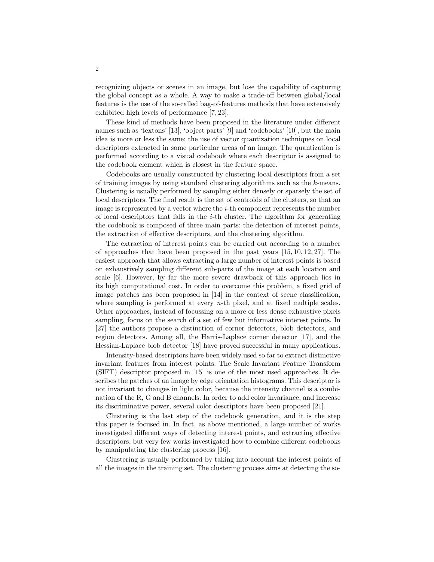recognizing objects or scenes in an image, but lose the capability of capturing the global concept as a whole. A way to make a trade-off between global/local features is the use of the so-called bag-of-features methods that have extensively exhibited high levels of performance [7, 23].

These kind of methods have been proposed in the literature under different names such as 'textons' [13], 'object parts' [9] and 'codebooks' [10], but the main idea is more or less the same: the use of vector quantization techniques on local descriptors extracted in some particular areas of an image. The quantization is performed according to a visual codebook where each descriptor is assigned to the codebook element which is closest in the feature space.

Codebooks are usually constructed by clustering local descriptors from a set of training images by using standard clustering algorithms such as the k-means. Clustering is usually performed by sampling either densely or sparsely the set of local descriptors. The final result is the set of centroids of the clusters, so that an image is represented by a vector where the  $i$ -th component represents the number of local descriptors that falls in the  $i$ -th cluster. The algorithm for generating the codebook is composed of three main parts: the detection of interest points, the extraction of effective descriptors, and the clustering algorithm.

The extraction of interest points can be carried out according to a number of approaches that have been proposed in the past years [15, 10, 12, 27]. The easiest approach that allows extracting a large number of interest points is based on exhaustively sampling different sub-parts of the image at each location and scale [6]. However, by far the more severe drawback of this approach lies in its high computational cost. In order to overcome this problem, a fixed grid of image patches has been proposed in [14] in the context of scene classification, where sampling is performed at every  $n$ -th pixel, and at fixed multiple scales. Other approaches, instead of focussing on a more or less dense exhaustive pixels sampling, focus on the search of a set of few but informative interest points. In [27] the authors propose a distinction of corner detectors, blob detectors, and region detectors. Among all, the Harris-Laplace corner detector [17], and the Hessian-Laplace blob detector [18] have proved successful in many applications.

Intensity-based descriptors have been widely used so far to extract distinctive invariant features from interest points. The Scale Invariant Feature Transform (SIFT) descriptor proposed in [15] is one of the most used approaches. It describes the patches of an image by edge orientation histograms. This descriptor is not invariant to changes in light color, because the intensity channel is a combination of the R, G and B channels. In order to add color invariance, and increase its discriminative power, several color descriptors have been proposed [21].

Clustering is the last step of the codebook generation, and it is the step this paper is focused in. In fact, as above mentioned, a large number of works investigated different ways of detecting interest points, and extracting effective descriptors, but very few works investigated how to combine different codebooks by manipulating the clustering process [16].

Clustering is usually performed by taking into account the interest points of all the images in the training set. The clustering process aims at detecting the so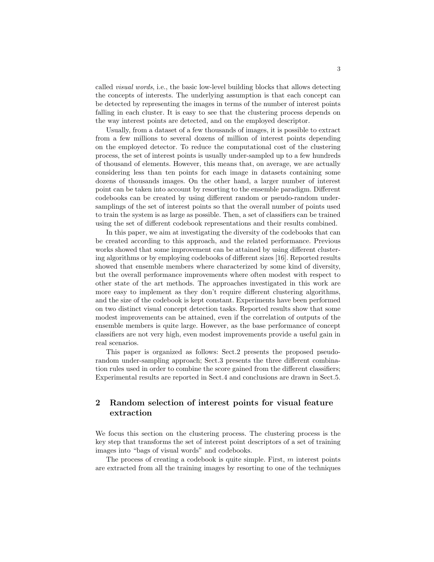called visual words, i.e., the basic low-level building blocks that allows detecting the concepts of interests. The underlying assumption is that each concept can be detected by representing the images in terms of the number of interest points falling in each cluster. It is easy to see that the clustering process depends on the way interest points are detected, and on the employed descriptor.

Usually, from a dataset of a few thousands of images, it is possible to extract from a few millions to several dozens of million of interest points depending on the employed detector. To reduce the computational cost of the clustering process, the set of interest points is usually under-sampled up to a few hundreds of thousand of elements. However, this means that, on average, we are actually considering less than ten points for each image in datasets containing some dozens of thousands images. On the other hand, a larger number of interest point can be taken into account by resorting to the ensemble paradigm. Different codebooks can be created by using different random or pseudo-random undersamplings of the set of interest points so that the overall number of points used to train the system is as large as possible. Then, a set of classifiers can be trained using the set of different codebook representations and their results combined.

In this paper, we aim at investigating the diversity of the codebooks that can be created according to this approach, and the related performance. Previous works showed that some improvement can be attained by using different clustering algorithms or by employing codebooks of different sizes [16]. Reported results showed that ensemble members where characterized by some kind of diversity, but the overall performance improvements where often modest with respect to other state of the art methods. The approaches investigated in this work are more easy to implement as they don't require different clustering algorithms, and the size of the codebook is kept constant. Experiments have been performed on two distinct visual concept detection tasks. Reported results show that some modest improvements can be attained, even if the correlation of outputs of the ensemble members is quite large. However, as the base performance of concept classifiers are not very high, even modest improvements provide a useful gain in real scenarios.

This paper is organized as follows: Sect.2 presents the proposed pseudorandom under-sampling approach; Sect.3 presents the three different combination rules used in order to combine the score gained from the different classifiers; Experimental results are reported in Sect.4 and conclusions are drawn in Sect.5.

## 2 Random selection of interest points for visual feature extraction

We focus this section on the clustering process. The clustering process is the key step that transforms the set of interest point descriptors of a set of training images into "bags of visual words" and codebooks.

The process of creating a codebook is quite simple. First,  $m$  interest points are extracted from all the training images by resorting to one of the techniques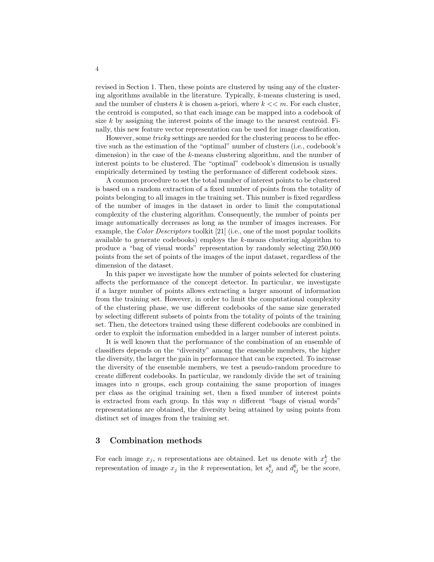revised in Section 1. Then, these points are clustered by using any of the clustering algorithms available in the literature. Typically,  $k$ -means clustering is used, and the number of clusters k is chosen a-priori, where  $k \ll m$ . For each cluster, the centroid is computed, so that each image can be mapped into a codebook of size  $k$  by assigning the interest points of the image to the nearest centroid. Finally, this new feature vector representation can be used for image classification.

However, some tricky settings are needed for the clustering process to be effective such as the estimation of the "optimal" number of clusters (i.e., codebook's dimension) in the case of the k-means clustering algorithm, and the number of interest points to be clustered. The "optimal" codebook's dimension is usually empirically determined by testing the performance of different codebook sizes.

A common procedure to set the total number of interest points to be clustered is based on a random extraction of a fixed number of points from the totality of points belonging to all images in the training set. This number is fixed regardless of the number of images in the dataset in order to limit the computational complexity of the clustering algorithm. Consequently, the number of points per image automatically decreases as long as the number of images increases. For example, the Color Descriptors toolkit [21] (i.e., one of the most popular toolkits available to generate codebooks) employs the k-means clustering algorithm to produce a "bag of visual words" representation by randomly selecting 250,000 points from the set of points of the images of the input dataset, regardless of the dimension of the dataset.

In this paper we investigate how the number of points selected for clustering affects the performance of the concept detector. In particular, we investigate if a larger number of points allows extracting a larger amount of information from the training set. However, in order to limit the computational complexity of the clustering phase, we use different codebooks of the same size generated by selecting different subsets of points from the totality of points of the training set. Then, the detectors trained using these different codebooks are combined in order to exploit the information embedded in a larger number of interest points.

It is well known that the performance of the combination of an ensemble of classifiers depends on the "diversity" among the ensemble members, the higher the diversity, the larger the gain in performance that can be expected. To increase the diversity of the ensemble members, we test a pseudo-random procedure to create different codebooks. In particular, we randomly divide the set of training images into  $n$  groups, each group containing the same proportion of images per class as the original training set, then a fixed number of interest points is extracted from each group. In this way  $n$  different "bags of visual words" representations are obtained, the diversity being attained by using points from distinct set of images from the training set.

## 3 Combination methods

For each image  $x_j$ , n representations are obtained. Let us denote with  $x_j^k$  the representation of image  $x_j$  in the k representation, let  $s_{ij}^k$  and  $d_{ij}^k$  be the score,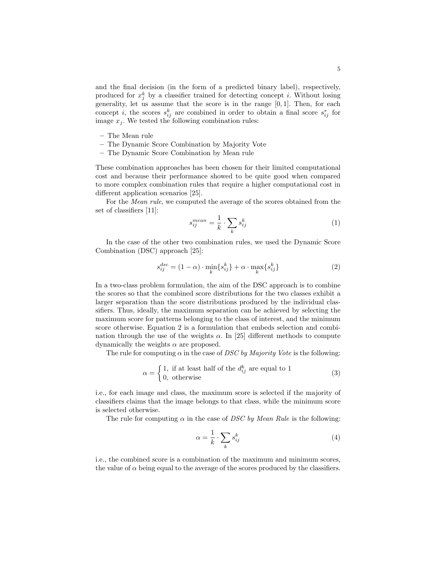and the final decision (in the form of a predicted binary label), respectively, produced for  $x_j^k$  by a classifier trained for detecting concept *i*. Without losing generality, let us assume that the score is in the range  $[0, 1]$ . Then, for each concept *i*, the scores  $s_{ij}^k$  are combined in order to obtain a final score  $s_{ij}^*$  for image  $x_j$ . We tested the following combination rules:

- The Mean rule
- The Dynamic Score Combination by Majority Vote
- The Dynamic Score Combination by Mean rule

These combination approaches has been chosen for their limited computational cost and because their performance showed to be quite good when compared to more complex combination rules that require a higher computational cost in different application scenarios [25].

For the Mean rule, we computed the average of the scores obtained from the set of classifiers [11]:

$$
s_{ij}^{mean} = \frac{1}{k} \cdot \sum_{k} s_{ij}^k \tag{1}
$$

In the case of the other two combination rules, we used the Dynamic Score Combination (DSC) approach [25]:

$$
s_{ij}^{dsc} = (1 - \alpha) \cdot \min_{k} \{s_{ij}^k\} + \alpha \cdot \max_{k} \{s_{ij}^k\}
$$
 (2)

In a two-class problem formulation, the aim of the DSC approach is to combine the scores so that the combined score distributions for the two classes exhibit a larger separation than the score distributions produced by the individual classifiers. Thus, ideally, the maximum separation can be achieved by selecting the maximum score for patterns belonging to the class of interest, and the minimum score otherwise. Equation 2 is a formulation that embeds selection and combination through the use of the weights  $\alpha$ . In [25] different methods to compute dynamically the weights  $\alpha$  are proposed.

The rule for computing  $\alpha$  in the case of DSC by Majority Vote is the following:

$$
\alpha = \begin{cases} 1, & \text{if at least half of the } d_{ij}^k \text{ are equal to 1} \\ 0, & \text{otherwise} \end{cases}
$$
 (3)

i.e., for each image and class, the maximum score is selected if the majority of classifiers claims that the image belongs to that class, while the minimum score is selected otherwise.

The rule for computing  $\alpha$  in the case of DSC by Mean Rule is the following:

$$
\alpha = \frac{1}{k} \cdot \sum_{k} s_{ij}^{k} \tag{4}
$$

i.e., the combined score is a combination of the maximum and minimum scores, the value of  $\alpha$  being equal to the average of the scores produced by the classifiers.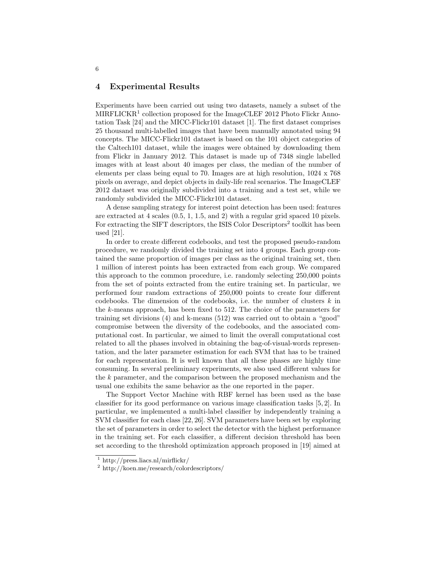### 4 Experimental Results

Experiments have been carried out using two datasets, namely a subset of the MIRFLICKR<sup>1</sup> collection proposed for the ImageCLEF 2012 Photo Flickr Annotation Task [24] and the MICC-Flickr101 dataset [1]. The first dataset comprises 25 thousand multi-labelled images that have been manually annotated using 94 concepts. The MICC-Flickr101 dataset is based on the 101 object categories of the Caltech101 dataset, while the images were obtained by downloading them from Flickr in January 2012. This dataset is made up of 7348 single labelled images with at least about 40 images per class, the median of the number of elements per class being equal to 70. Images are at high resolution, 1024 x 768 pixels on average, and depict objects in daily-life real scenarios. The ImageCLEF 2012 dataset was originally subdivided into a training and a test set, while we randomly subdivided the MICC-Flickr101 dataset.

A dense sampling strategy for interest point detection has been used: features are extracted at 4 scales (0.5, 1, 1.5, and 2) with a regular grid spaced 10 pixels. For extracting the SIFT descriptors, the ISIS Color Descriptors<sup>2</sup> toolkit has been used [21].

In order to create different codebooks, and test the proposed pseudo-random procedure, we randomly divided the training set into 4 groups. Each group contained the same proportion of images per class as the original training set, then 1 million of interest points has been extracted from each group. We compared this approach to the common procedure, i.e. randomly selecting 250,000 points from the set of points extracted from the entire training set. In particular, we performed four random extractions of 250,000 points to create four different codebooks. The dimension of the codebooks, i.e. the number of clusters  $k$  in the k-means approach, has been fixed to 512. The choice of the parameters for training set divisions (4) and k-means (512) was carried out to obtain a "good" compromise between the diversity of the codebooks, and the associated computational cost. In particular, we aimed to limit the overall computational cost related to all the phases involved in obtaining the bag-of-visual-words representation, and the later parameter estimation for each SVM that has to be trained for each representation. It is well known that all these phases are highly time consuming. In several preliminary experiments, we also used different values for the k parameter, and the comparison between the proposed mechanism and the usual one exhibits the same behavior as the one reported in the paper.

The Support Vector Machine with RBF kernel has been used as the base classifier for its good performance on various image classification tasks [5, 2]. In particular, we implemented a multi-label classifier by independently training a SVM classifier for each class [22, 26]. SVM parameters have been set by exploring the set of parameters in order to select the detector with the highest performance in the training set. For each classifier, a different decision threshold has been set according to the threshold optimization approach proposed in [19] aimed at

<sup>1</sup> http://press.liacs.nl/mirflickr/

<sup>2</sup> http://koen.me/research/colordescriptors/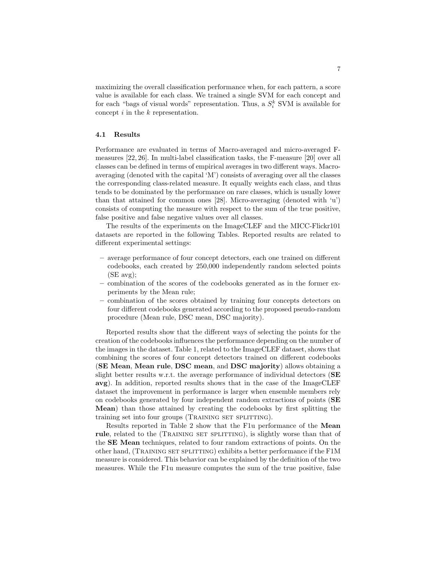maximizing the overall classification performance when, for each pattern, a score value is available for each class. We trained a single SVM for each concept and for each "bags of visual words" representation. Thus, a  $S_i^k$  SVM is available for concept  $i$  in the  $k$  representation.

#### 4.1 Results

Performance are evaluated in terms of Macro-averaged and micro-averaged Fmeasures [22, 26]. In multi-label classification tasks, the F-measure [20] over all classes can be defined in terms of empirical averages in two different ways. Macroaveraging (denoted with the capital 'M') consists of averaging over all the classes the corresponding class-related measure. It equally weights each class, and thus tends to be dominated by the performance on rare classes, which is usually lower than that attained for common ones [28]. Micro-averaging (denoted with 'u') consists of computing the measure with respect to the sum of the true positive, false positive and false negative values over all classes.

The results of the experiments on the ImageCLEF and the MICC-Flickr101 datasets are reported in the following Tables. Reported results are related to different experimental settings:

- average performance of four concept detectors, each one trained on different codebooks, each created by 250,000 independently random selected points  $(SE \text{ avg})$ :
- combination of the scores of the codebooks generated as in the former experiments by the Mean rule;
- combination of the scores obtained by training four concepts detectors on four different codebooks generated according to the proposed pseudo-random procedure (Mean rule, DSC mean, DSC majority).

Reported results show that the different ways of selecting the points for the creation of the codebooks influences the performance depending on the number of the images in the dataset. Table 1, related to the ImageCLEF dataset, shows that combining the scores of four concept detectors trained on different codebooks (SE Mean, Mean rule, DSC mean, and DSC majority) allows obtaining a slight better results w.r.t. the average performance of individual detectors (SE avg). In addition, reported results shows that in the case of the ImageCLEF dataset the improvement in performance is larger when ensemble members rely on codebooks generated by four independent random extractions of points (SE Mean) than those attained by creating the codebooks by first splitting the training set into four groups (TRAINING SET SPLITTING).

Results reported in Table 2 show that the F1u performance of the Mean rule, related to the (TRAINING SET SPLITTING), is slightly worse than that of the SE Mean techniques, related to four random extractions of points. On the other hand, (Training set splitting) exhibits a better performance if the F1M measure is considered. This behavior can be explained by the definition of the two measures. While the F1u measure computes the sum of the true positive, false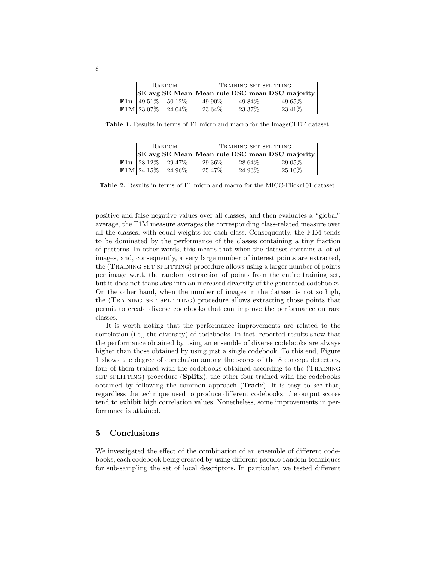|     | RANDOM              |         | TRAINING SET SPLITTING |         |                                                |
|-----|---------------------|---------|------------------------|---------|------------------------------------------------|
|     |                     |         |                        |         | SE avgSEE Mean Mean rule DSC mean DSC majority |
| F1u | $ 49.51\% $         | 50.12\% | 49.90%                 | 49.84\% | 49.65%                                         |
|     | $\bf{F1M}$   23.07% | 24.04%  | 23.64%                 | 23.37%  | 23.41\%                                        |

Table 1. Results in terms of F1 micro and macro for the ImageCLEF dataset.

| RANDOM                                        |                                    | TRAINING SET SPLITTING |         |                                                       |
|-----------------------------------------------|------------------------------------|------------------------|---------|-------------------------------------------------------|
|                                               |                                    |                        |         | <b>SE avg SE Mean Mean rule DSC mean DSC majority</b> |
|                                               | $\textbf{F1u}$   28.12\%   29.47\% | 29.36\%                | 28.64\% | 29.05\%                                               |
| $\mathbf{F1M}$ 24.15% $\mathbf{\overline{1}}$ | 24.96%                             | 25.47\%                | 24.93%  | 25.10\%                                               |

Table 2. Results in terms of F1 micro and macro for the MICC-Flickr101 dataset.

positive and false negative values over all classes, and then evaluates a "global" average, the F1M measure averages the corresponding class-related measure over all the classes, with equal weights for each class. Consequently, the F1M tends to be dominated by the performance of the classes containing a tiny fraction of patterns. In other words, this means that when the dataset contains a lot of images, and, consequently, a very large number of interest points are extracted, the (TRAINING SET SPLITTING) procedure allows using a larger number of points per image w.r.t. the random extraction of points from the entire training set, but it does not translates into an increased diversity of the generated codebooks. On the other hand, when the number of images in the dataset is not so high, the (TRAINING SET SPLITTING) procedure allows extracting those points that permit to create diverse codebooks that can improve the performance on rare classes.

It is worth noting that the performance improvements are related to the correlation (i.e,, the diversity) of codebooks. In fact, reported results show that the performance obtained by using an ensemble of diverse codebooks are always higher than those obtained by using just a single codebook. To this end, Figure 1 shows the degree of correlation among the scores of the 8 concept detectors, four of them trained with the codebooks obtained according to the (Training  $SET$  SPLITTING) procedure ( $Splitx$ ), the other four trained with the codebooks obtained by following the common approach (Tradx). It is easy to see that, regardless the technique used to produce different codebooks, the output scores tend to exhibit high correlation values. Nonetheless, some improvements in performance is attained.

#### 5 Conclusions

We investigated the effect of the combination of an ensemble of different codebooks, each codebook being created by using different pseudo-random techniques for sub-sampling the set of local descriptors. In particular, we tested different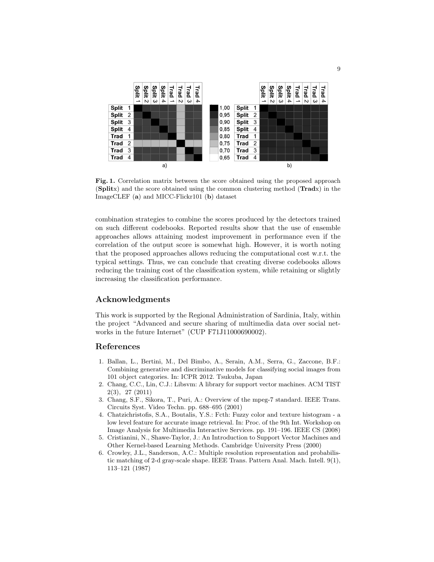

Fig. 1. Correlation matrix between the score obtained using the proposed approach (Splitx) and the score obtained using the common clustering method (Tradx) in the ImageCLEF (a) and MICC-Flickr101 (b) dataset

combination strategies to combine the scores produced by the detectors trained on such different codebooks. Reported results show that the use of ensemble approaches allows attaining modest improvement in performance even if the correlation of the output score is somewhat high. However, it is worth noting that the proposed approaches allows reducing the computational cost w.r.t. the typical settings. Thus, we can conclude that creating diverse codebooks allows reducing the training cost of the classification system, while retaining or slightly increasing the classification performance.

## Acknowledgments

This work is supported by the Regional Administration of Sardinia, Italy, within the project "Advanced and secure sharing of multimedia data over social networks in the future Internet" (CUP F71J11000690002).

### References

- 1. Ballan, L., Bertini, M., Del Bimbo, A., Serain, A.M., Serra, G., Zaccone, B.F.: Combining generative and discriminative models for classifying social images from 101 object categories. In: ICPR 2012. Tsukuba, Japan
- 2. Chang, C.C., Lin, C.J.: Libsvm: A library for support vector machines. ACM TIST 2(3), 27 (2011)
- 3. Chang, S.F., Sikora, T., Puri, A.: Overview of the mpeg-7 standard. IEEE Trans. Circuits Syst. Video Techn. pp. 688–695 (2001)
- 4. Chatzichristofis, S.A., Boutalis, Y.S.: Fcth: Fuzzy color and texture histogram a low level feature for accurate image retrieval. In: Proc. of the 9th Int. Workshop on Image Analysis for Multimedia Interactive Services. pp. 191–196. IEEE CS (2008)
- 5. Cristianini, N., Shawe-Taylor, J.: An Introduction to Support Vector Machines and Other Kernel-based Learning Methods. Cambridge University Press (2000)
- 6. Crowley, J.L., Sanderson, A.C.: Multiple resolution representation and probabilistic matching of 2-d gray-scale shape. IEEE Trans. Pattern Anal. Mach. Intell. 9(1), 113–121 (1987)